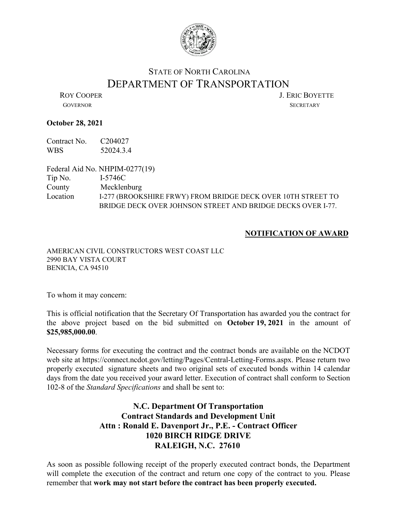

## STATE OF NORTH CAROLINA DEPARTMENT OF TRANSPORTATION<br>LERIC BOYETTE

GOVERNOR SECRETARY

## **October 28, 2021**

Contract No. C204027 WBS 52024.3.4

Federal Aid No. NHPIM-0277(19)

Tip No. I-5746C County Mecklenburg Location I-277 (BROOKSHIRE FRWY) FROM BRIDGE DECK OVER 10TH STREET TO BRIDGE DECK OVER JOHNSON STREET AND BRIDGE DECKS OVER I-77.

## **NOTIFICATION OF AWARD**

AMERICAN CIVIL CONSTRUCTORS WEST COAST LLC 2990 BAY VISTA COURT BENICIA, CA 94510

To whom it may concern:

This is official notification that the Secretary Of Transportation has awarded you the contract for the above project based on the bid submitted on **October 19, 2021** in the amount of **\$25,985,000.00**.

Necessary forms for executing the contract and the contract bonds are available on the NCDOT web site at https://connect.ncdot.gov/letting/Pages/Central-Letting-Forms.aspx. Please return two properly executed signature sheets and two original sets of executed bonds within 14 calendar days from the date you received your award letter. Execution of contract shall conform to Section 102-8 of the *Standard Specifications* and shall be sent to:

## **N.C. Department Of Transportation Contract Standards and Development Unit Attn : Ronald E. Davenport Jr., P.E. - Contract Officer 1020 BIRCH RIDGE DRIVE RALEIGH, N.C. 27610**

As soon as possible following receipt of the properly executed contract bonds, the Department will complete the execution of the contract and return one copy of the contract to you. Please remember that **work may not start before the contract has been properly executed.**